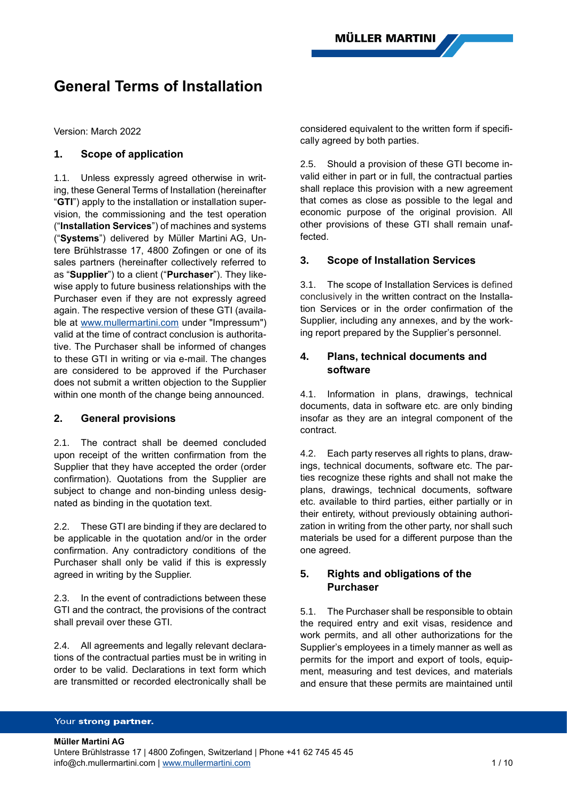# **General Terms of Installation**

Version: March 2022

# **1. Scope of application**

1.1. Unless expressly agreed otherwise in writing, these General Terms of Installation (hereinafter "**GTI**") apply to the installation or installation supervision, the commissioning and the test operation ("**Installation Services**") of machines and systems ("**Systems**") delivered by Müller Martini AG, Untere Brühlstrasse 17, 4800 Zofingen or one of its sales partners (hereinafter collectively referred to as "**Supplier**") to a client ("**Purchaser**"). They likewise apply to future business relationships with the Purchaser even if they are not expressly agreed again. The respective version of these GTI (available at [www.mullermartini.com](http://www.mullermartini.com/) under "Impressum") valid at the time of contract conclusion is authoritative. The Purchaser shall be informed of changes to these GTI in writing or via e-mail. The changes are considered to be approved if the Purchaser does not submit a written objection to the Supplier within one month of the change being announced.

### **2. General provisions**

2.1. The contract shall be deemed concluded upon receipt of the written confirmation from the Supplier that they have accepted the order (order confirmation). Quotations from the Supplier are subject to change and non-binding unless designated as binding in the quotation text.

2.2. These GTI are binding if they are declared to be applicable in the quotation and/or in the order confirmation. Any contradictory conditions of the Purchaser shall only be valid if this is expressly agreed in writing by the Supplier.

2.3. In the event of contradictions between these GTI and the contract, the provisions of the contract shall prevail over these GTI.

2.4. All agreements and legally relevant declarations of the contractual parties must be in writing in order to be valid. Declarations in text form which are transmitted or recorded electronically shall be

considered equivalent to the written form if specifically agreed by both parties.

2.5. Should a provision of these GTI become invalid either in part or in full, the contractual parties shall replace this provision with a new agreement that comes as close as possible to the legal and economic purpose of the original provision. All other provisions of these GTI shall remain unaffected.

### **3. Scope of Installation Services**

3.1. The scope of Installation Services is defined conclusively in the written contract on the Installation Services or in the order confirmation of the Supplier, including any annexes, and by the working report prepared by the Supplier's personnel.

# **4. Plans, technical documents and software**

4.1. Information in plans, drawings, technical documents, data in software etc. are only binding insofar as they are an integral component of the contract.

4.2. Each party reserves all rights to plans, drawings, technical documents, software etc. The parties recognize these rights and shall not make the plans, drawings, technical documents, software etc. available to third parties, either partially or in their entirety, without previously obtaining authorization in writing from the other party, nor shall such materials be used for a different purpose than the one agreed.

# **5. Rights and obligations of the Purchaser**

5.1. The Purchaser shall be responsible to obtain the required entry and exit visas, residence and work permits, and all other authorizations for the Supplier's employees in a timely manner as well as permits for the import and export of tools, equipment, measuring and test devices, and materials and ensure that these permits are maintained until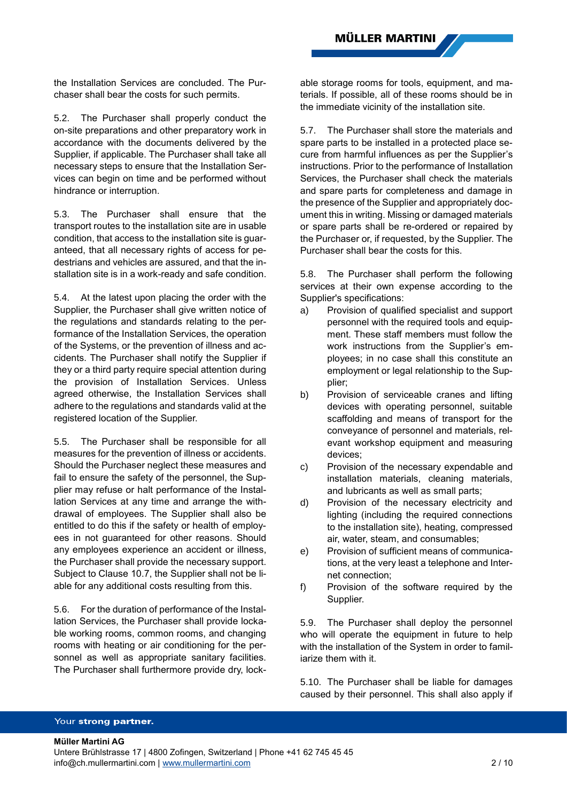the Installation Services are concluded. The Purchaser shall bear the costs for such permits.

5.2. The Purchaser shall properly conduct the on-site preparations and other preparatory work in accordance with the documents delivered by the Supplier, if applicable. The Purchaser shall take all necessary steps to ensure that the Installation Services can begin on time and be performed without hindrance or interruption.

5.3. The Purchaser shall ensure that the transport routes to the installation site are in usable condition, that access to the installation site is guaranteed, that all necessary rights of access for pedestrians and vehicles are assured, and that the installation site is in a work-ready and safe condition.

5.4. At the latest upon placing the order with the Supplier, the Purchaser shall give written notice of the regulations and standards relating to the performance of the Installation Services, the operation of the Systems, or the prevention of illness and accidents. The Purchaser shall notify the Supplier if they or a third party require special attention during the provision of Installation Services. Unless agreed otherwise, the Installation Services shall adhere to the regulations and standards valid at the registered location of the Supplier.

5.5. The Purchaser shall be responsible for all measures for the prevention of illness or accidents. Should the Purchaser neglect these measures and fail to ensure the safety of the personnel, the Supplier may refuse or halt performance of the Installation Services at any time and arrange the withdrawal of employees. The Supplier shall also be entitled to do this if the safety or health of employees in not guaranteed for other reasons. Should any employees experience an accident or illness, the Purchaser shall provide the necessary support. Subject to Clause 10.7, the Supplier shall not be liable for any additional costs resulting from this.

5.6. For the duration of performance of the Installation Services, the Purchaser shall provide lockable working rooms, common rooms, and changing rooms with heating or air conditioning for the personnel as well as appropriate sanitary facilities. The Purchaser shall furthermore provide dry, lockable storage rooms for tools, equipment, and materials. If possible, all of these rooms should be in the immediate vicinity of the installation site.

5.7. The Purchaser shall store the materials and spare parts to be installed in a protected place secure from harmful influences as per the Supplier's instructions. Prior to the performance of Installation Services, the Purchaser shall check the materials and spare parts for completeness and damage in the presence of the Supplier and appropriately document this in writing. Missing or damaged materials or spare parts shall be re-ordered or repaired by the Purchaser or, if requested, by the Supplier. The Purchaser shall bear the costs for this.

5.8. The Purchaser shall perform the following services at their own expense according to the Supplier's specifications:

- a) Provision of qualified specialist and support personnel with the required tools and equipment. These staff members must follow the work instructions from the Supplier's employees; in no case shall this constitute an employment or legal relationship to the Supplier;
- b) Provision of serviceable cranes and lifting devices with operating personnel, suitable scaffolding and means of transport for the conveyance of personnel and materials, relevant workshop equipment and measuring devices;
- c) Provision of the necessary expendable and installation materials, cleaning materials, and lubricants as well as small parts;
- d) Provision of the necessary electricity and lighting (including the required connections to the installation site), heating, compressed air, water, steam, and consumables;
- e) Provision of sufficient means of communications, at the very least a telephone and Internet connection;
- f) Provision of the software required by the Supplier.

5.9. The Purchaser shall deploy the personnel who will operate the equipment in future to help with the installation of the System in order to familiarize them with it.

5.10. The Purchaser shall be liable for damages caused by their personnel. This shall also apply if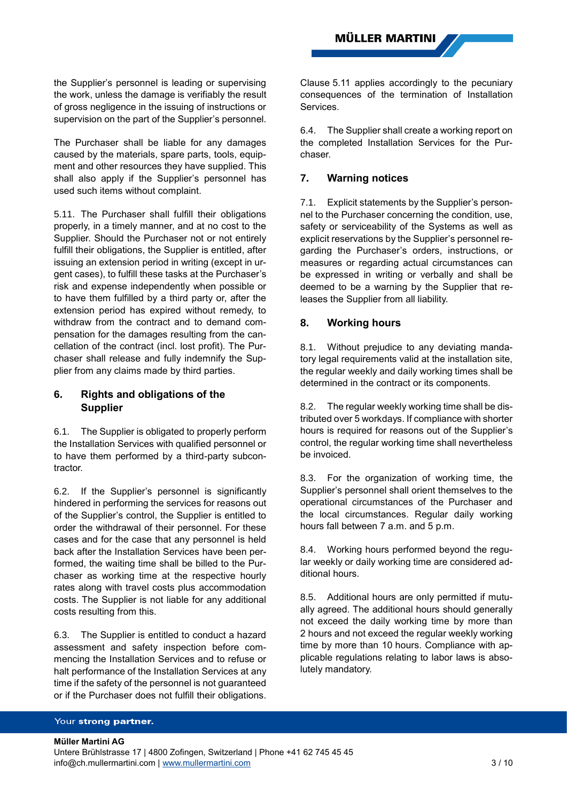the Supplier's personnel is leading or supervising the work, unless the damage is verifiably the result of gross negligence in the issuing of instructions or supervision on the part of the Supplier's personnel.

The Purchaser shall be liable for any damages caused by the materials, spare parts, tools, equipment and other resources they have supplied. This shall also apply if the Supplier's personnel has used such items without complaint.

<span id="page-2-0"></span>5.11. The Purchaser shall fulfill their obligations properly, in a timely manner, and at no cost to the Supplier. Should the Purchaser not or not entirely fulfill their obligations, the Supplier is entitled, after issuing an extension period in writing (except in urgent cases), to fulfill these tasks at the Purchaser's risk and expense independently when possible or to have them fulfilled by a third party or, after the extension period has expired without remedy, to withdraw from the contract and to demand compensation for the damages resulting from the cancellation of the contract (incl. lost profit). The Purchaser shall release and fully indemnify the Supplier from any claims made by third parties.

# **6. Rights and obligations of the Supplier**

6.1. The Supplier is obligated to properly perform the Installation Services with qualified personnel or to have them performed by a third-party subcontractor.

6.2. If the Supplier's personnel is significantly hindered in performing the services for reasons out of the Supplier's control, the Supplier is entitled to order the withdrawal of their personnel. For these cases and for the case that any personnel is held back after the Installation Services have been performed, the waiting time shall be billed to the Purchaser as working time at the respective hourly rates along with travel costs plus accommodation costs. The Supplier is not liable for any additional costs resulting from this.

6.3. The Supplier is entitled to conduct a hazard assessment and safety inspection before commencing the Installation Services and to refuse or halt performance of the Installation Services at any time if the safety of the personnel is not guaranteed or if the Purchaser does not fulfill their obligations.

Clause [5.11](#page-2-0) applies accordingly to the pecuniary consequences of the termination of Installation Services.

<span id="page-2-2"></span>6.4. The Supplier shall create a working report on the completed Installation Services for the Purchaser.

# **7. Warning notices**

7.1. Explicit statements by the Supplier's personnel to the Purchaser concerning the condition, use, safety or serviceability of the Systems as well as explicit reservations by the Supplier's personnel regarding the Purchaser's orders, instructions, or measures or regarding actual circumstances can be expressed in writing or verbally and shall be deemed to be a warning by the Supplier that releases the Supplier from all liability.

# <span id="page-2-1"></span>**8. Working hours**

8.1. Without prejudice to any deviating mandatory legal requirements valid at the installation site, the regular weekly and daily working times shall be determined in the contract or its components.

8.2. The regular weekly working time shall be distributed over 5 workdays. If compliance with shorter hours is required for reasons out of the Supplier's control, the regular working time shall nevertheless be invoiced.

8.3. For the organization of working time, the Supplier's personnel shall orient themselves to the operational circumstances of the Purchaser and the local circumstances. Regular daily working hours fall between 7 a.m. and 5 p.m.

8.4. Working hours performed beyond the regular weekly or daily working time are considered additional hours.

8.5. Additional hours are only permitted if mutually agreed. The additional hours should generally not exceed the daily working time by more than 2 hours and not exceed the regular weekly working time by more than 10 hours. Compliance with applicable regulations relating to labor laws is absolutely mandatory.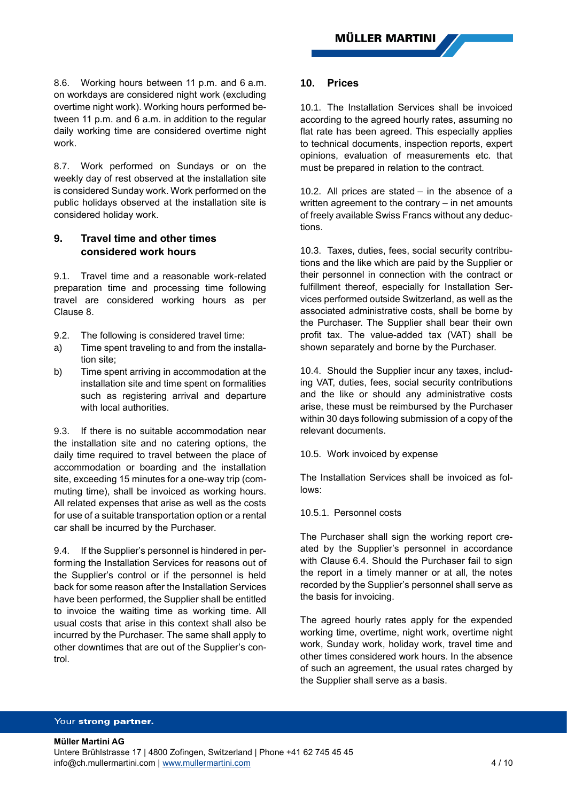8.6. Working hours between 11 p.m. and 6 a.m. on workdays are considered night work (excluding overtime night work). Working hours performed between 11 p.m. and 6 a.m. in addition to the regular daily working time are considered overtime night work.

8.7. Work performed on Sundays or on the weekly day of rest observed at the installation site is considered Sunday work. Work performed on the public holidays observed at the installation site is considered holiday work.

# **9. Travel time and other times considered work hours**

9.1. Travel time and a reasonable work-related preparation time and processing time following travel are considered working hours as per Clause [8.](#page-2-1)

- 9.2. The following is considered travel time:
- a) Time spent traveling to and from the installation site;
- b) Time spent arriving in accommodation at the installation site and time spent on formalities such as registering arrival and departure with local authorities.

9.3. If there is no suitable accommodation near the installation site and no catering options, the daily time required to travel between the place of accommodation or boarding and the installation site, exceeding 15 minutes for a one-way trip (commuting time), shall be invoiced as working hours. All related expenses that arise as well as the costs for use of a suitable transportation option or a rental car shall be incurred by the Purchaser.

9.4. If the Supplier's personnel is hindered in performing the Installation Services for reasons out of the Supplier's control or if the personnel is held back for some reason after the Installation Services have been performed, the Supplier shall be entitled to invoice the waiting time as working time. All usual costs that arise in this context shall also be incurred by the Purchaser. The same shall apply to other downtimes that are out of the Supplier's control.

### **10. Prices**

10.1. The Installation Services shall be invoiced according to the agreed hourly rates, assuming no flat rate has been agreed. This especially applies to technical documents, inspection reports, expert opinions, evaluation of measurements etc. that must be prepared in relation to the contract.

10.2. All prices are stated – in the absence of a written agreement to the contrary – in net amounts of freely available Swiss Francs without any deductions.

10.3. Taxes, duties, fees, social security contributions and the like which are paid by the Supplier or their personnel in connection with the contract or fulfillment thereof, especially for Installation Services performed outside Switzerland, as well as the associated administrative costs, shall be borne by the Purchaser. The Supplier shall bear their own profit tax. The value-added tax (VAT) shall be shown separately and borne by the Purchaser.

10.4. Should the Supplier incur any taxes, including VAT, duties, fees, social security contributions and the like or should any administrative costs arise, these must be reimbursed by the Purchaser within 30 days following submission of a copy of the relevant documents.

10.5. Work invoiced by expense

The Installation Services shall be invoiced as follows:

### 10.5.1. Personnel costs

The Purchaser shall sign the working report created by the Supplier's personnel in accordance with Clause [6.4.](#page-2-2) Should the Purchaser fail to sign the report in a timely manner or at all, the notes recorded by the Supplier's personnel shall serve as the basis for invoicing.

The agreed hourly rates apply for the expended working time, overtime, night work, overtime night work, Sunday work, holiday work, travel time and other times considered work hours. In the absence of such an agreement, the usual rates charged by the Supplier shall serve as a basis.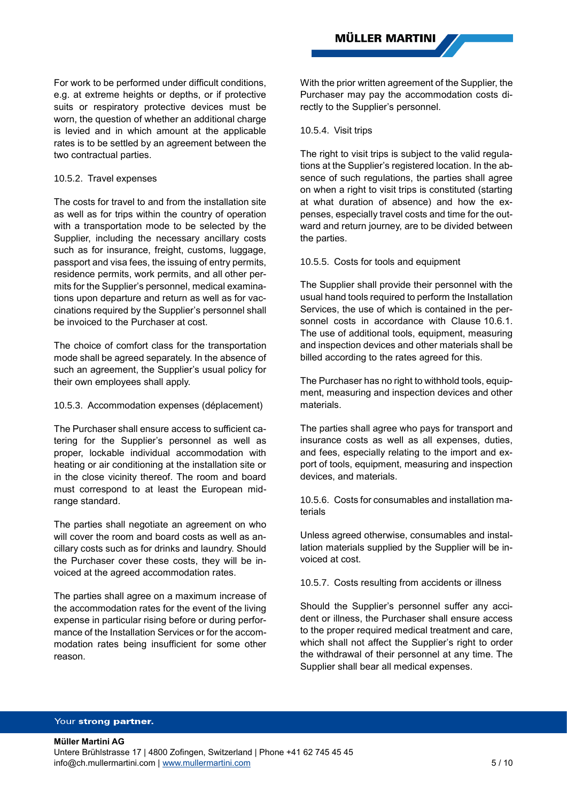For work to be performed under difficult conditions, e.g. at extreme heights or depths, or if protective suits or respiratory protective devices must be worn, the question of whether an additional charge is levied and in which amount at the applicable rates is to be settled by an agreement between the two contractual parties.

### 10.5.2. Travel expenses

The costs for travel to and from the installation site as well as for trips within the country of operation with a transportation mode to be selected by the Supplier, including the necessary ancillary costs such as for insurance, freight, customs, luggage, passport and visa fees, the issuing of entry permits, residence permits, work permits, and all other permits for the Supplier's personnel, medical examinations upon departure and return as well as for vaccinations required by the Supplier's personnel shall be invoiced to the Purchaser at cost.

The choice of comfort class for the transportation mode shall be agreed separately. In the absence of such an agreement, the Supplier's usual policy for their own employees shall apply.

### 10.5.3. Accommodation expenses (déplacement)

The Purchaser shall ensure access to sufficient catering for the Supplier's personnel as well as proper, lockable individual accommodation with heating or air conditioning at the installation site or in the close vicinity thereof. The room and board must correspond to at least the European midrange standard.

The parties shall negotiate an agreement on who will cover the room and board costs as well as ancillary costs such as for drinks and laundry. Should the Purchaser cover these costs, they will be invoiced at the agreed accommodation rates.

The parties shall agree on a maximum increase of the accommodation rates for the event of the living expense in particular rising before or during performance of the Installation Services or for the accommodation rates being insufficient for some other reason.

With the prior written agreement of the Supplier, the Purchaser may pay the accommodation costs directly to the Supplier's personnel.

### 10.5.4. Visit trips

The right to visit trips is subject to the valid regulations at the Supplier's registered location. In the absence of such regulations, the parties shall agree on when a right to visit trips is constituted (starting at what duration of absence) and how the expenses, especially travel costs and time for the outward and return journey, are to be divided between the parties.

### 10.5.5. Costs for tools and equipment

The Supplier shall provide their personnel with the usual hand tools required to perform the Installation Services, the use of which is contained in the personnel costs in accordance with Clause 10.6.1. The use of additional tools, equipment, measuring and inspection devices and other materials shall be billed according to the rates agreed for this.

The Purchaser has no right to withhold tools, equipment, measuring and inspection devices and other materials.

The parties shall agree who pays for transport and insurance costs as well as all expenses, duties, and fees, especially relating to the import and export of tools, equipment, measuring and inspection devices, and materials.

10.5.6. Costs for consumables and installation materials

Unless agreed otherwise, consumables and installation materials supplied by the Supplier will be invoiced at cost.

10.5.7. Costs resulting from accidents or illness

Should the Supplier's personnel suffer any accident or illness, the Purchaser shall ensure access to the proper required medical treatment and care, which shall not affect the Supplier's right to order the withdrawal of their personnel at any time. The Supplier shall bear all medical expenses.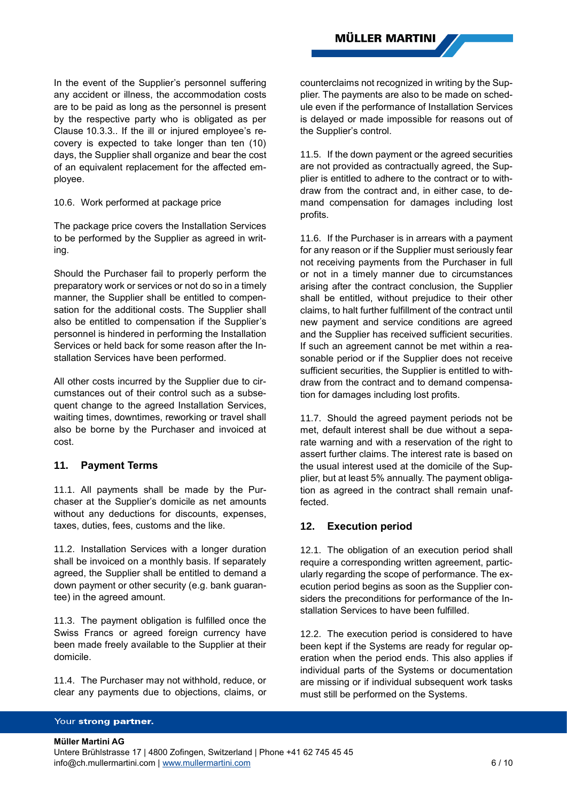In the event of the Supplier's personnel suffering any accident or illness, the accommodation costs are to be paid as long as the personnel is present by the respective party who is obligated as per Clause 10.3.3.. If the ill or injured employee's recovery is expected to take longer than ten (10) days, the Supplier shall organize and bear the cost of an equivalent replacement for the affected employee.

10.6. Work performed at package price

The package price covers the Installation Services to be performed by the Supplier as agreed in writing.

Should the Purchaser fail to properly perform the preparatory work or services or not do so in a timely manner, the Supplier shall be entitled to compensation for the additional costs. The Supplier shall also be entitled to compensation if the Supplier's personnel is hindered in performing the Installation Services or held back for some reason after the Installation Services have been performed.

All other costs incurred by the Supplier due to circumstances out of their control such as a subsequent change to the agreed Installation Services, waiting times, downtimes, reworking or travel shall also be borne by the Purchaser and invoiced at cost.

### **11. Payment Terms**

11.1. All payments shall be made by the Purchaser at the Supplier's domicile as net amounts without any deductions for discounts, expenses, taxes, duties, fees, customs and the like.

11.2. Installation Services with a longer duration shall be invoiced on a monthly basis. If separately agreed, the Supplier shall be entitled to demand a down payment or other security (e.g. bank guarantee) in the agreed amount.

11.3. The payment obligation is fulfilled once the Swiss Francs or agreed foreign currency have been made freely available to the Supplier at their domicile.

11.4. The Purchaser may not withhold, reduce, or clear any payments due to objections, claims, or counterclaims not recognized in writing by the Supplier. The payments are also to be made on schedule even if the performance of Installation Services is delayed or made impossible for reasons out of the Supplier's control.

11.5. If the down payment or the agreed securities are not provided as contractually agreed, the Supplier is entitled to adhere to the contract or to withdraw from the contract and, in either case, to demand compensation for damages including lost profits.

11.6. If the Purchaser is in arrears with a payment for any reason or if the Supplier must seriously fear not receiving payments from the Purchaser in full or not in a timely manner due to circumstances arising after the contract conclusion, the Supplier shall be entitled, without prejudice to their other claims, to halt further fulfillment of the contract until new payment and service conditions are agreed and the Supplier has received sufficient securities. If such an agreement cannot be met within a reasonable period or if the Supplier does not receive sufficient securities, the Supplier is entitled to withdraw from the contract and to demand compensation for damages including lost profits.

11.7. Should the agreed payment periods not be met, default interest shall be due without a separate warning and with a reservation of the right to assert further claims. The interest rate is based on the usual interest used at the domicile of the Supplier, but at least 5% annually. The payment obligation as agreed in the contract shall remain unaffected.

### **12. Execution period**

12.1. The obligation of an execution period shall require a corresponding written agreement, particularly regarding the scope of performance. The execution period begins as soon as the Supplier considers the preconditions for performance of the Installation Services to have been fulfilled.

12.2. The execution period is considered to have been kept if the Systems are ready for regular operation when the period ends. This also applies if individual parts of the Systems or documentation are missing or if individual subsequent work tasks must still be performed on the Systems.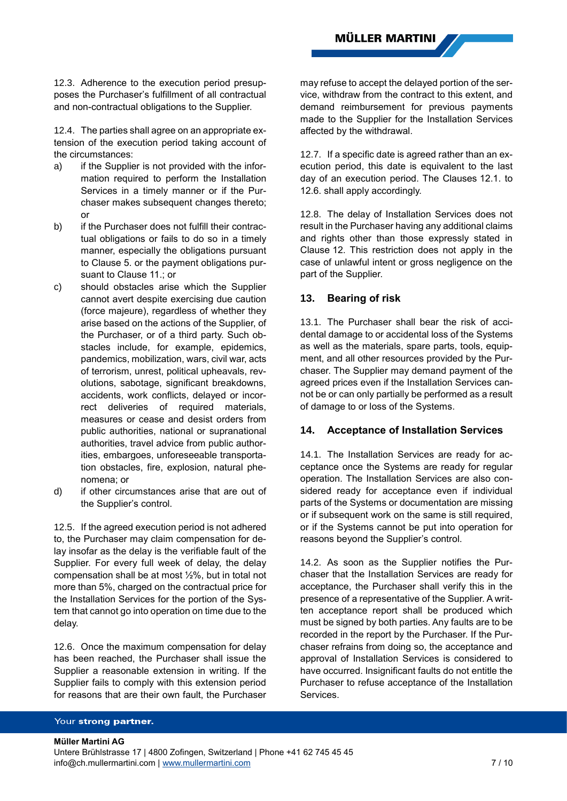12.3. Adherence to the execution period presupposes the Purchaser's fulfillment of all contractual and non-contractual obligations to the Supplier.

12.4. The parties shall agree on an appropriate extension of the execution period taking account of the circumstances:

- a) if the Supplier is not provided with the information required to perform the Installation Services in a timely manner or if the Purchaser makes subsequent changes thereto; or
- b) if the Purchaser does not fulfill their contractual obligations or fails to do so in a timely manner, especially the obligations pursuant to Clause 5. or the payment obligations pursuant to Clause 11.; or
- c) should obstacles arise which the Supplier cannot avert despite exercising due caution (force majeure), regardless of whether they arise based on the actions of the Supplier, of the Purchaser, or of a third party. Such obstacles include, for example, epidemics, pandemics, mobilization, wars, civil war, acts of terrorism, unrest, political upheavals, revolutions, sabotage, significant breakdowns, accidents, work conflicts, delayed or incorrect deliveries of required materials, measures or cease and desist orders from public authorities, national or supranational authorities, travel advice from public authorities, embargoes, unforeseeable transportation obstacles, fire, explosion, natural phenomena; or
- d) if other circumstances arise that are out of the Supplier's control.

12.5. If the agreed execution period is not adhered to, the Purchaser may claim compensation for delay insofar as the delay is the verifiable fault of the Supplier. For every full week of delay, the delay compensation shall be at most ½%, but in total not more than 5%, charged on the contractual price for the Installation Services for the portion of the System that cannot go into operation on time due to the delay.

12.6. Once the maximum compensation for delay has been reached, the Purchaser shall issue the Supplier a reasonable extension in writing. If the Supplier fails to comply with this extension period for reasons that are their own fault, the Purchaser

may refuse to accept the delayed portion of the service, withdraw from the contract to this extent, and demand reimbursement for previous payments made to the Supplier for the Installation Services affected by the withdrawal.

12.7. If a specific date is agreed rather than an execution period, this date is equivalent to the last day of an execution period. The Clauses 12.1. to 12.6. shall apply accordingly.

12.8. The delay of Installation Services does not result in the Purchaser having any additional claims and rights other than those expressly stated in Clause 12. This restriction does not apply in the case of unlawful intent or gross negligence on the part of the Supplier.

### **13. Bearing of risk**

13.1. The Purchaser shall bear the risk of accidental damage to or accidental loss of the Systems as well as the materials, spare parts, tools, equipment, and all other resources provided by the Purchaser. The Supplier may demand payment of the agreed prices even if the Installation Services cannot be or can only partially be performed as a result of damage to or loss of the Systems.

### **14. Acceptance of Installation Services**

14.1. The Installation Services are ready for acceptance once the Systems are ready for regular operation. The Installation Services are also considered ready for acceptance even if individual parts of the Systems or documentation are missing or if subsequent work on the same is still required, or if the Systems cannot be put into operation for reasons beyond the Supplier's control.

14.2. As soon as the Supplier notifies the Purchaser that the Installation Services are ready for acceptance, the Purchaser shall verify this in the presence of a representative of the Supplier. A written acceptance report shall be produced which must be signed by both parties. Any faults are to be recorded in the report by the Purchaser. If the Purchaser refrains from doing so, the acceptance and approval of Installation Services is considered to have occurred. Insignificant faults do not entitle the Purchaser to refuse acceptance of the Installation **Services** 

#### Your strong partner.

**Müller Martini AG** Untere Brühlstrasse 17 | 4800 Zofingen, Switzerland | Phone +41 62 745 45 45 info@ch.mullermartini.com [| www.mullermartini.com](http://www.mullermartini.com/) 7 / 10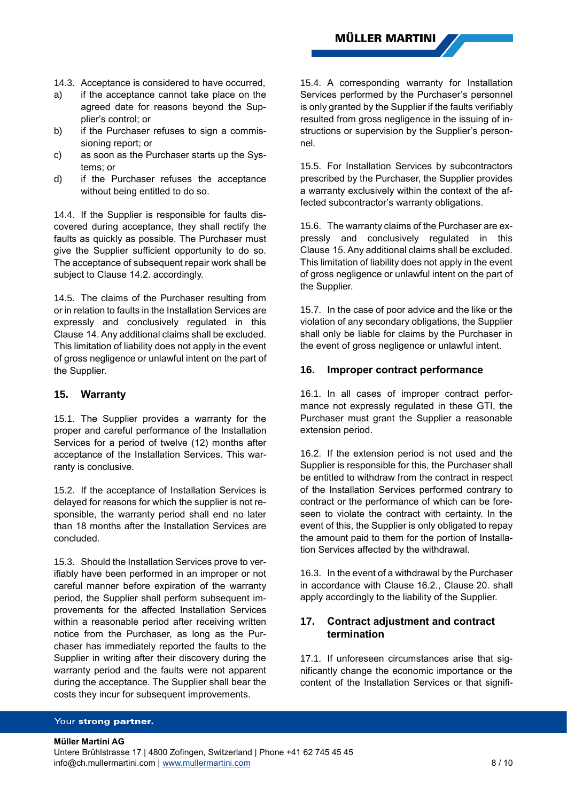- 14.3. Acceptance is considered to have occurred,
- a) if the acceptance cannot take place on the agreed date for reasons beyond the Supplier's control; or
- b) if the Purchaser refuses to sign a commissioning report; or
- c) as soon as the Purchaser starts up the Systems; or
- d) if the Purchaser refuses the acceptance without being entitled to do so.

14.4. If the Supplier is responsible for faults discovered during acceptance, they shall rectify the faults as quickly as possible. The Purchaser must give the Supplier sufficient opportunity to do so. The acceptance of subsequent repair work shall be subject to Clause 14.2. accordingly.

14.5. The claims of the Purchaser resulting from or in relation to faults in the Installation Services are expressly and conclusively regulated in this Clause 14. Any additional claims shall be excluded. This limitation of liability does not apply in the event of gross negligence or unlawful intent on the part of the Supplier.

### **15. Warranty**

15.1. The Supplier provides a warranty for the proper and careful performance of the Installation Services for a period of twelve (12) months after acceptance of the Installation Services. This warranty is conclusive.

15.2. If the acceptance of Installation Services is delayed for reasons for which the supplier is not responsible, the warranty period shall end no later than 18 months after the Installation Services are concluded.

15.3. Should the Installation Services prove to verifiably have been performed in an improper or not careful manner before expiration of the warranty period, the Supplier shall perform subsequent improvements for the affected Installation Services within a reasonable period after receiving written notice from the Purchaser, as long as the Purchaser has immediately reported the faults to the Supplier in writing after their discovery during the warranty period and the faults were not apparent during the acceptance. The Supplier shall bear the costs they incur for subsequent improvements.

15.4. A corresponding warranty for Installation Services performed by the Purchaser's personnel is only granted by the Supplier if the faults verifiably resulted from gross negligence in the issuing of instructions or supervision by the Supplier's personnel.

15.5. For Installation Services by subcontractors prescribed by the Purchaser, the Supplier provides a warranty exclusively within the context of the affected subcontractor's warranty obligations.

15.6. The warranty claims of the Purchaser are expressly and conclusively regulated in this Clause 15. Any additional claims shall be excluded. This limitation of liability does not apply in the event of gross negligence or unlawful intent on the part of the Supplier.

15.7. In the case of poor advice and the like or the violation of any secondary obligations, the Supplier shall only be liable for claims by the Purchaser in the event of gross negligence or unlawful intent.

### **16. Improper contract performance**

16.1. In all cases of improper contract performance not expressly regulated in these GTI, the Purchaser must grant the Supplier a reasonable extension period.

16.2. If the extension period is not used and the Supplier is responsible for this, the Purchaser shall be entitled to withdraw from the contract in respect of the Installation Services performed contrary to contract or the performance of which can be foreseen to violate the contract with certainty. In the event of this, the Supplier is only obligated to repay the amount paid to them for the portion of Installation Services affected by the withdrawal.

16.3. In the event of a withdrawal by the Purchaser in accordance with Clause 16.2., Clause 20. shall apply accordingly to the liability of the Supplier.

# **17. Contract adjustment and contract termination**

17.1. If unforeseen circumstances arise that significantly change the economic importance or the content of the Installation Services or that signifi-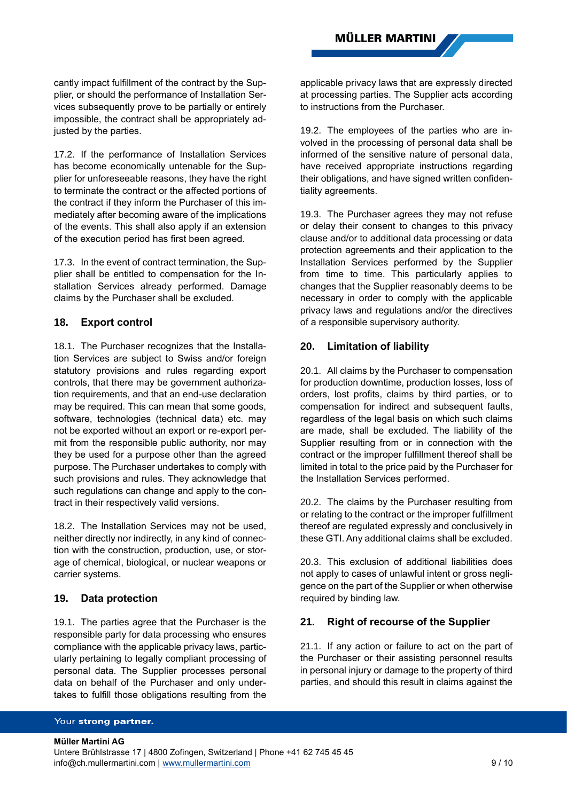cantly impact fulfillment of the contract by the Supplier, or should the performance of Installation Services subsequently prove to be partially or entirely impossible, the contract shall be appropriately adjusted by the parties.

17.2. If the performance of Installation Services has become economically untenable for the Supplier for unforeseeable reasons, they have the right to terminate the contract or the affected portions of the contract if they inform the Purchaser of this immediately after becoming aware of the implications of the events. This shall also apply if an extension of the execution period has first been agreed.

17.3. In the event of contract termination, the Supplier shall be entitled to compensation for the Installation Services already performed. Damage claims by the Purchaser shall be excluded.

# **18. Export control**

18.1. The Purchaser recognizes that the Installation Services are subject to Swiss and/or foreign statutory provisions and rules regarding export controls, that there may be government authorization requirements, and that an end-use declaration may be required. This can mean that some goods, software, technologies (technical data) etc. may not be exported without an export or re-export permit from the responsible public authority, nor may they be used for a purpose other than the agreed purpose. The Purchaser undertakes to comply with such provisions and rules. They acknowledge that such regulations can change and apply to the contract in their respectively valid versions.

18.2. The Installation Services may not be used, neither directly nor indirectly, in any kind of connection with the construction, production, use, or storage of chemical, biological, or nuclear weapons or carrier systems.

### **19. Data protection**

19.1. The parties agree that the Purchaser is the responsible party for data processing who ensures compliance with the applicable privacy laws, particularly pertaining to legally compliant processing of personal data. The Supplier processes personal data on behalf of the Purchaser and only undertakes to fulfill those obligations resulting from the applicable privacy laws that are expressly directed at processing parties. The Supplier acts according to instructions from the Purchaser.

19.2. The employees of the parties who are involved in the processing of personal data shall be informed of the sensitive nature of personal data, have received appropriate instructions regarding their obligations, and have signed written confidentiality agreements.

19.3. The Purchaser agrees they may not refuse or delay their consent to changes to this privacy clause and/or to additional data processing or data protection agreements and their application to the Installation Services performed by the Supplier from time to time. This particularly applies to changes that the Supplier reasonably deems to be necessary in order to comply with the applicable privacy laws and regulations and/or the directives of a responsible supervisory authority.

# **20. Limitation of liability**

20.1. All claims by the Purchaser to compensation for production downtime, production losses, loss of orders, lost profits, claims by third parties, or to compensation for indirect and subsequent faults, regardless of the legal basis on which such claims are made, shall be excluded. The liability of the Supplier resulting from or in connection with the contract or the improper fulfillment thereof shall be limited in total to the price paid by the Purchaser for the Installation Services performed.

20.2. The claims by the Purchaser resulting from or relating to the contract or the improper fulfillment thereof are regulated expressly and conclusively in these GTI. Any additional claims shall be excluded.

20.3. This exclusion of additional liabilities does not apply to cases of unlawful intent or gross negligence on the part of the Supplier or when otherwise required by binding law.

# **21. Right of recourse of the Supplier**

21.1. If any action or failure to act on the part of the Purchaser or their assisting personnel results in personal injury or damage to the property of third parties, and should this result in claims against the